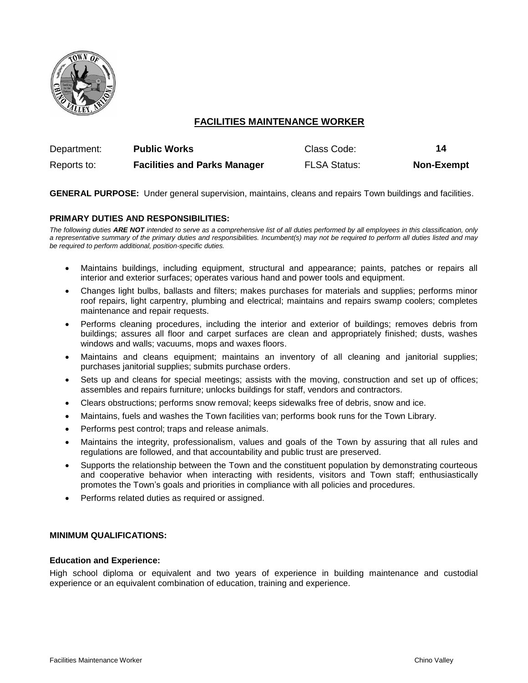

# **FACILITIES MAINTENANCE WORKER**

| Department: | <b>Public Works</b>                 | Class Code:         | 14                |
|-------------|-------------------------------------|---------------------|-------------------|
| Reports to: | <b>Facilities and Parks Manager</b> | <b>FLSA Status:</b> | <b>Non-Exempt</b> |

**GENERAL PURPOSE:** Under general supervision, maintains, cleans and repairs Town buildings and facilities.

# **PRIMARY DUTIES AND RESPONSIBILITIES:**

*The following duties ARE NOT intended to serve as a comprehensive list of all duties performed by all employees in this classification, only a representative summary of the primary duties and responsibilities. Incumbent(s) may not be required to perform all duties listed and may be required to perform additional, position-specific duties.*

- Maintains buildings, including equipment, structural and appearance; paints, patches or repairs all interior and exterior surfaces; operates various hand and power tools and equipment.
- Changes light bulbs, ballasts and filters; makes purchases for materials and supplies; performs minor roof repairs, light carpentry, plumbing and electrical; maintains and repairs swamp coolers; completes maintenance and repair requests.
- Performs cleaning procedures, including the interior and exterior of buildings; removes debris from buildings; assures all floor and carpet surfaces are clean and appropriately finished; dusts, washes windows and walls; vacuums, mops and waxes floors.
- Maintains and cleans equipment; maintains an inventory of all cleaning and janitorial supplies; purchases janitorial supplies; submits purchase orders.
- Sets up and cleans for special meetings; assists with the moving, construction and set up of offices; assembles and repairs furniture; unlocks buildings for staff, vendors and contractors.
- Clears obstructions; performs snow removal; keeps sidewalks free of debris, snow and ice.
- Maintains, fuels and washes the Town facilities van; performs book runs for the Town Library.
- Performs pest control; traps and release animals.
- Maintains the integrity, professionalism, values and goals of the Town by assuring that all rules and regulations are followed, and that accountability and public trust are preserved.
- Supports the relationship between the Town and the constituent population by demonstrating courteous and cooperative behavior when interacting with residents, visitors and Town staff; enthusiastically promotes the Town's goals and priorities in compliance with all policies and procedures.
- Performs related duties as required or assigned.

### **MINIMUM QUALIFICATIONS:**

### **Education and Experience:**

High school diploma or equivalent and two years of experience in building maintenance and custodial experience or an equivalent combination of education, training and experience.